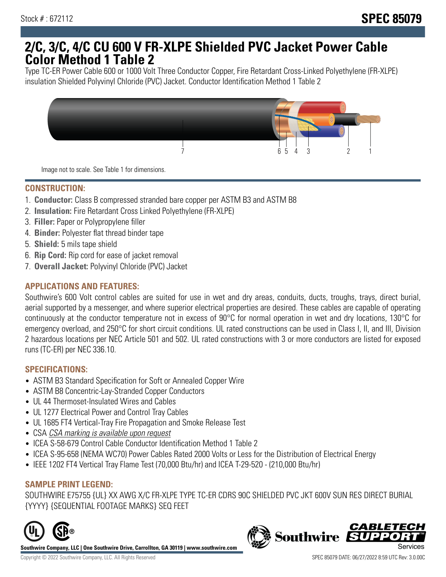## **2/C, 3/C, 4/C CU 600 V FR-XLPE Shielded PVC Jacket Power Cable Color Method 1 Table 2**

Type TC-ER Power Cable 600 or 1000 Volt Three Conductor Copper, Fire Retardant Cross-Linked Polyethylene (FR-XLPE) insulation Shielded Polyvinyl Chloride (PVC) Jacket. Conductor Identification Method 1 Table 2



Image not to scale. See Table 1 for dimensions.

#### **CONSTRUCTION:**

- 1. **Conductor:** Class B compressed stranded bare copper per ASTM B3 and ASTM B8
- 2. **Insulation:** Fire Retardant Cross Linked Polyethylene (FR-XLPE)
- 3. **Filler:** Paper or Polypropylene filler
- 4. **Binder:** Polyester flat thread binder tape
- 5. **Shield:** 5 mils tape shield
- 6. **Rip Cord:** Rip cord for ease of jacket removal
- 7. **Overall Jacket:** Polyvinyl Chloride (PVC) Jacket

## **APPLICATIONS AND FEATURES:**

Southwire's 600 Volt control cables are suited for use in wet and dry areas, conduits, ducts, troughs, trays, direct burial, aerial supported by a messenger, and where superior electrical properties are desired. These cables are capable of operating continuously at the conductor temperature not in excess of 90°C for normal operation in wet and dry locations, 130°C for emergency overload, and 250°C for short circuit conditions. UL rated constructions can be used in Class I, II, and III, Division 2 hazardous locations per NEC Article 501 and 502. UL rated constructions with 3 or more conductors are listed for exposed runs (TC-ER) per NEC 336.10.

#### **SPECIFICATIONS:**

- ASTM B3 Standard Specification for Soft or Annealed Copper Wire
- ASTM B8 Concentric-Lay-Stranded Copper Conductors
- UL 44 Thermoset-Insulated Wires and Cables
- UL 1277 Electrical Power and Control Tray Cables
- UL 1685 FT4 Vertical-Tray Fire Propagation and Smoke Release Test
- CSA CSA marking is available upon request
- ICEA S-58-679 Control Cable Conductor Identification Method 1 Table 2
- ICEA S-95-658 (NEMA WC70) Power Cables Rated 2000 Volts or Less for the Distribution of Electrical Energy
- IEEE 1202 FT4 Vertical Tray Flame Test (70,000 Btu/hr) and ICEA T-29-520 (210,000 Btu/hr)

#### **SAMPLE PRINT LEGEND:**

SOUTHWIRE E75755 {UL} XX AWG X/C FR-XLPE TYPE TC-ER CDRS 90C SHIELDED PVC JKT 600V SUN RES DIRECT BURIAL {YYYY} {SEQUENTIAL FOOTAGE MARKS} SEQ FEET



**Southwire Company, LLC | One Southwire Drive, Carrollton, GA 30119 | www.southwire.com**